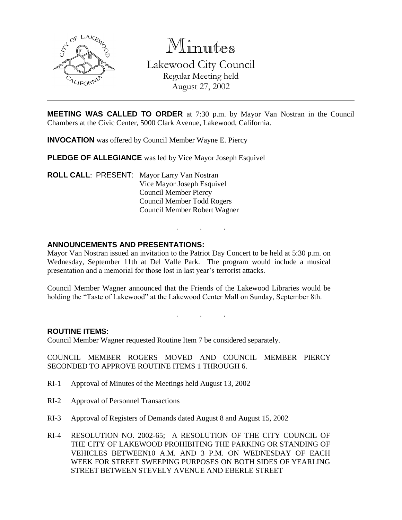

Minutes Lakewood City Council

Regular Meeting held August 27, 2002

**MEETING WAS CALLED TO ORDER** at 7:30 p.m. by Mayor Van Nostran in the Council Chambers at the Civic Center, 5000 Clark Avenue, Lakewood, California.

**INVOCATION** was offered by Council Member Wayne E. Piercy

**PLEDGE OF ALLEGIANCE** was led by Vice Mayor Joseph Esquivel

**ROLL CALL**: PRESENT: Mayor Larry Van Nostran Vice Mayor Joseph Esquivel Council Member Piercy Council Member Todd Rogers Council Member Robert Wagner

## **ANNOUNCEMENTS AND PRESENTATIONS:**

Mayor Van Nostran issued an invitation to the Patriot Day Concert to be held at 5:30 p.m. on Wednesday, September 11th at Del Valle Park. The program would include a musical presentation and a memorial for those lost in last year's terrorist attacks.

. . .

Council Member Wagner announced that the Friends of the Lakewood Libraries would be holding the "Taste of Lakewood" at the Lakewood Center Mall on Sunday, September 8th.

. . .

## **ROUTINE ITEMS:**

Council Member Wagner requested Routine Item 7 be considered separately.

COUNCIL MEMBER ROGERS MOVED AND COUNCIL MEMBER PIERCY SECONDED TO APPROVE ROUTINE ITEMS 1 THROUGH 6.

- RI-1 Approval of Minutes of the Meetings held August 13, 2002
- RI-2 Approval of Personnel Transactions
- RI-3 Approval of Registers of Demands dated August 8 and August 15, 2002
- RI-4 RESOLUTION NO. 2002-65; A RESOLUTION OF THE CITY COUNCIL OF THE CITY OF LAKEWOOD PROHIBITING THE PARKING OR STANDING OF VEHICLES BETWEEN10 A.M. AND 3 P.M. ON WEDNESDAY OF EACH WEEK FOR STREET SWEEPING PURPOSES ON BOTH SIDES OF YEARLING STREET BETWEEN STEVELY AVENUE AND EBERLE STREET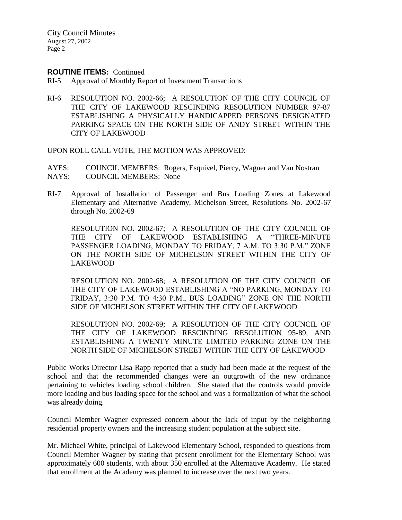#### **ROUTINE ITEMS:** Continued

- RI-5 Approval of Monthly Report of Investment Transactions
- RI-6 RESOLUTION NO. 2002-66; A RESOLUTION OF THE CITY COUNCIL OF THE CITY OF LAKEWOOD RESCINDING RESOLUTION NUMBER 97-87 ESTABLISHING A PHYSICALLY HANDICAPPED PERSONS DESIGNATED PARKING SPACE ON THE NORTH SIDE OF ANDY STREET WITHIN THE CITY OF LAKEWOOD

UPON ROLL CALL VOTE, THE MOTION WAS APPROVED:

AYES: COUNCIL MEMBERS: Rogers, Esquivel, Piercy, Wagner and Van Nostran NAYS: COUNCIL MEMBERS: None

RI-7 Approval of Installation of Passenger and Bus Loading Zones at Lakewood Elementary and Alternative Academy, Michelson Street, Resolutions No. 2002-67 through No. 2002-69

RESOLUTION NO. 2002-67; A RESOLUTION OF THE CITY COUNCIL OF THE CITY OF LAKEWOOD ESTABLISHING A "THREE-MINUTE PASSENGER LOADING, MONDAY TO FRIDAY, 7 A.M. TO 3:30 P.M." ZONE ON THE NORTH SIDE OF MICHELSON STREET WITHIN THE CITY OF LAKEWOOD

RESOLUTION NO. 2002-68; A RESOLUTION OF THE CITY COUNCIL OF THE CITY OF LAKEWOOD ESTABLISHING A "NO PARKING, MONDAY TO FRIDAY, 3:30 P.M. TO 4:30 P.M., BUS LOADING" ZONE ON THE NORTH SIDE OF MICHELSON STREET WITHIN THE CITY OF LAKEWOOD

RESOLUTION NO. 2002-69; A RESOLUTION OF THE CITY COUNCIL OF THE CITY OF LAKEWOOD RESCINDING RESOLUTION 95-89, AND ESTABLISHING A TWENTY MINUTE LIMITED PARKING ZONE ON THE NORTH SIDE OF MICHELSON STREET WITHIN THE CITY OF LAKEWOOD

Public Works Director Lisa Rapp reported that a study had been made at the request of the school and that the recommended changes were an outgrowth of the new ordinance pertaining to vehicles loading school children. She stated that the controls would provide more loading and bus loading space for the school and was a formalization of what the school was already doing.

Council Member Wagner expressed concern about the lack of input by the neighboring residential property owners and the increasing student population at the subject site.

Mr. Michael White, principal of Lakewood Elementary School, responded to questions from Council Member Wagner by stating that present enrollment for the Elementary School was approximately 600 students, with about 350 enrolled at the Alternative Academy. He stated that enrollment at the Academy was planned to increase over the next two years.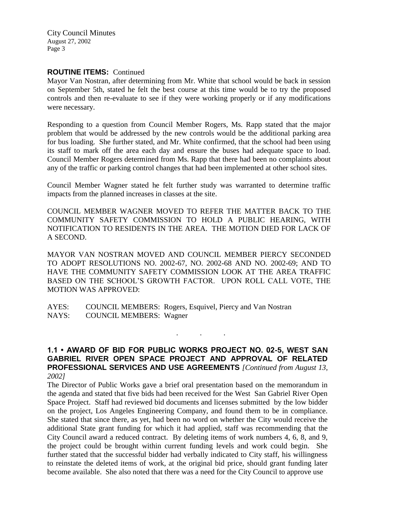### **ROUTINE ITEMS:** Continued

Mayor Van Nostran, after determining from Mr. White that school would be back in session on September 5th, stated he felt the best course at this time would be to try the proposed controls and then re-evaluate to see if they were working properly or if any modifications were necessary.

Responding to a question from Council Member Rogers, Ms. Rapp stated that the major problem that would be addressed by the new controls would be the additional parking area for bus loading. She further stated, and Mr. White confirmed, that the school had been using its staff to mark off the area each day and ensure the buses had adequate space to load. Council Member Rogers determined from Ms. Rapp that there had been no complaints about any of the traffic or parking control changes that had been implemented at other school sites.

Council Member Wagner stated he felt further study was warranted to determine traffic impacts from the planned increases in classes at the site.

COUNCIL MEMBER WAGNER MOVED TO REFER THE MATTER BACK TO THE COMMUNITY SAFETY COMMISSION TO HOLD A PUBLIC HEARING, WITH NOTIFICATION TO RESIDENTS IN THE AREA. THE MOTION DIED FOR LACK OF A SECOND.

MAYOR VAN NOSTRAN MOVED AND COUNCIL MEMBER PIERCY SECONDED TO ADOPT RESOLUTIONS NO. 2002-67, NO. 2002-68 AND NO. 2002-69; AND TO HAVE THE COMMUNITY SAFETY COMMISSION LOOK AT THE AREA TRAFFIC BASED ON THE SCHOOL'S GROWTH FACTOR. UPON ROLL CALL VOTE, THE MOTION WAS APPROVED:

AYES: COUNCIL MEMBERS: Rogers, Esquivel, Piercy and Van Nostran NAYS: COUNCIL MEMBERS: Wagner

**1.1 • AWARD OF BID FOR PUBLIC WORKS PROJECT NO. 02-5, WEST SAN GABRIEL RIVER OPEN SPACE PROJECT AND APPROVAL OF RELATED PROFESSIONAL SERVICES AND USE AGREEMENTS** *[Continued from August 13, 2002]*

. . .

The Director of Public Works gave a brief oral presentation based on the memorandum in the agenda and stated that five bids had been received for the West San Gabriel River Open Space Project. Staff had reviewed bid documents and licenses submitted by the low bidder on the project, Los Angeles Engineering Company, and found them to be in compliance. She stated that since there, as yet, had been no word on whether the City would receive the additional State grant funding for which it had applied, staff was recommending that the City Council award a reduced contract. By deleting items of work numbers 4, 6, 8, and 9, the project could be brought within current funding levels and work could begin. She further stated that the successful bidder had verbally indicated to City staff, his willingness to reinstate the deleted items of work, at the original bid price, should grant funding later become available. She also noted that there was a need for the City Council to approve use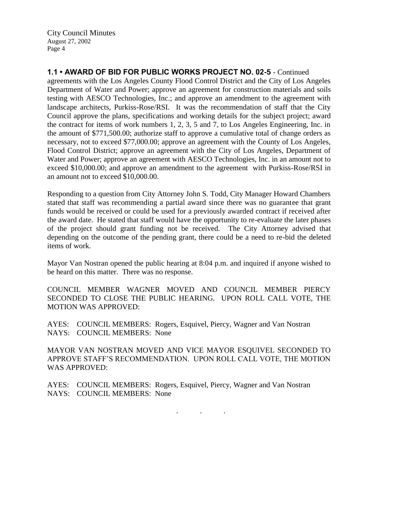**1.1 • AWARD OF BID FOR PUBLIC WORKS PROJECT NO. 02-5** - Continued

agreements with the Los Angeles County Flood Control District and the City of Los Angeles Department of Water and Power; approve an agreement for construction materials and soils testing with AESCO Technologies, Inc.; and approve an amendment to the agreement with landscape architects, Purkiss-Rose/RSI. It was the recommendation of staff that the City Council approve the plans, specifications and working details for the subject project; award the contract for items of work numbers 1, 2, 3, 5 and 7, to Los Angeles Engineering, Inc. in the amount of \$771,500.00; authorize staff to approve a cumulative total of change orders as necessary, not to exceed \$77,000.00; approve an agreement with the County of Los Angeles, Flood Control District; approve an agreement with the City of Los Angeles, Department of Water and Power; approve an agreement with AESCO Technologies, Inc. in an amount not to exceed \$10,000.00; and approve an amendment to the agreement with Purkiss-Rose/RSI in an amount not to exceed \$10,000.00.

Responding to a question from City Attorney John S. Todd, City Manager Howard Chambers stated that staff was recommending a partial award since there was no guarantee that grant funds would be received or could be used for a previously awarded contract if received after the award date. He stated that staff would have the opportunity to re-evaluate the later phases of the project should grant funding not be received. The City Attorney advised that depending on the outcome of the pending grant, there could be a need to re-bid the deleted items of work.

Mayor Van Nostran opened the public hearing at 8:04 p.m. and inquired if anyone wished to be heard on this matter. There was no response.

COUNCIL MEMBER WAGNER MOVED AND COUNCIL MEMBER PIERCY SECONDED TO CLOSE THE PUBLIC HEARING. UPON ROLL CALL VOTE, THE MOTION WAS APPROVED:

AYES: COUNCIL MEMBERS: Rogers, Esquivel, Piercy, Wagner and Van Nostran NAYS: COUNCIL MEMBERS: None

MAYOR VAN NOSTRAN MOVED AND VICE MAYOR ESQUIVEL SECONDED TO APPROVE STAFF'S RECOMMENDATION. UPON ROLL CALL VOTE, THE MOTION WAS APPROVED:

. . .

AYES: COUNCIL MEMBERS: Rogers, Esquivel, Piercy, Wagner and Van Nostran NAYS: COUNCIL MEMBERS: None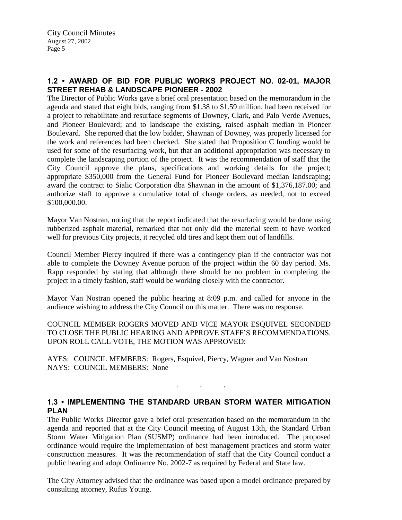# **1.2 • AWARD OF BID FOR PUBLIC WORKS PROJECT NO. 02-01, MAJOR STREET REHAB & LANDSCAPE PIONEER - 2002**

The Director of Public Works gave a brief oral presentation based on the memorandum in the agenda and stated that eight bids, ranging from \$1.38 to \$1.59 million, had been received for a project to rehabilitate and resurface segments of Downey, Clark, and Palo Verde Avenues, and Pioneer Boulevard; and to landscape the existing, raised asphalt median in Pioneer Boulevard. She reported that the low bidder, Shawnan of Downey, was properly licensed for the work and references had been checked. She stated that Proposition C funding would be used for some of the resurfacing work, but that an additional appropriation was necessary to complete the landscaping portion of the project. It was the recommendation of staff that the City Council approve the plans, specifications and working details for the project; appropriate \$350,000 from the General Fund for Pioneer Boulevard median landscaping; award the contract to Sialic Corporation dba Shawnan in the amount of \$1,376,187.00; and authorize staff to approve a cumulative total of change orders, as needed, not to exceed \$100,000.00.

Mayor Van Nostran, noting that the report indicated that the resurfacing would be done using rubberized asphalt material, remarked that not only did the material seem to have worked well for previous City projects, it recycled old tires and kept them out of landfills.

Council Member Piercy inquired if there was a contingency plan if the contractor was not able to complete the Downey Avenue portion of the project within the 60 day period. Ms. Rapp responded by stating that although there should be no problem in completing the project in a timely fashion, staff would be working closely with the contractor.

Mayor Van Nostran opened the public hearing at 8:09 p.m. and called for anyone in the audience wishing to address the City Council on this matter. There was no response.

COUNCIL MEMBER ROGERS MOVED AND VICE MAYOR ESQUIVEL SECONDED TO CLOSE THE PUBLIC HEARING AND APPROVE STAFF'S RECOMMENDATIONS. UPON ROLL CALL VOTE, THE MOTION WAS APPROVED:

AYES: COUNCIL MEMBERS: Rogers, Esquivel, Piercy, Wagner and Van Nostran NAYS: COUNCIL MEMBERS: None

## **1.3 • IMPLEMENTING THE STANDARD URBAN STORM WATER MITIGATION PLAN**

. . .

The Public Works Director gave a brief oral presentation based on the memorandum in the agenda and reported that at the City Council meeting of August 13th, the Standard Urban Storm Water Mitigation Plan (SUSMP) ordinance had been introduced. The proposed ordinance would require the implementation of best management practices and storm water construction measures. It was the recommendation of staff that the City Council conduct a public hearing and adopt Ordinance No. 2002-7 as required by Federal and State law.

The City Attorney advised that the ordinance was based upon a model ordinance prepared by consulting attorney, Rufus Young.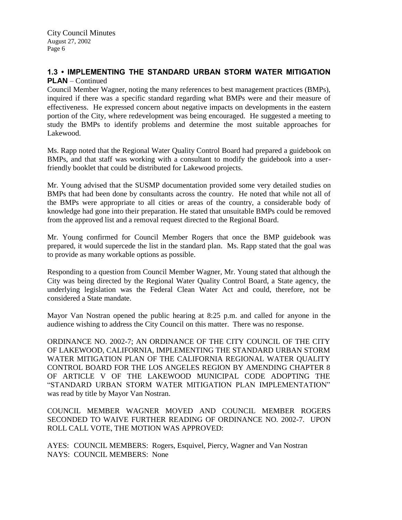#### **1.3 • IMPLEMENTING THE STANDARD URBAN STORM WATER MITIGATION PLAN** – Continued

Council Member Wagner, noting the many references to best management practices (BMPs), inquired if there was a specific standard regarding what BMPs were and their measure of effectiveness. He expressed concern about negative impacts on developments in the eastern portion of the City, where redevelopment was being encouraged. He suggested a meeting to study the BMPs to identify problems and determine the most suitable approaches for Lakewood.

Ms. Rapp noted that the Regional Water Quality Control Board had prepared a guidebook on BMPs, and that staff was working with a consultant to modify the guidebook into a userfriendly booklet that could be distributed for Lakewood projects.

Mr. Young advised that the SUSMP documentation provided some very detailed studies on BMPs that had been done by consultants across the country. He noted that while not all of the BMPs were appropriate to all cities or areas of the country, a considerable body of knowledge had gone into their preparation. He stated that unsuitable BMPs could be removed from the approved list and a removal request directed to the Regional Board.

Mr. Young confirmed for Council Member Rogers that once the BMP guidebook was prepared, it would supercede the list in the standard plan. Ms. Rapp stated that the goal was to provide as many workable options as possible.

Responding to a question from Council Member Wagner, Mr. Young stated that although the City was being directed by the Regional Water Quality Control Board, a State agency, the underlying legislation was the Federal Clean Water Act and could, therefore, not be considered a State mandate.

Mayor Van Nostran opened the public hearing at 8:25 p.m. and called for anyone in the audience wishing to address the City Council on this matter. There was no response.

ORDINANCE NO. 2002-7; AN ORDINANCE OF THE CITY COUNCIL OF THE CITY OF LAKEWOOD, CALIFORNIA, IMPLEMENTING THE STANDARD URBAN STORM WATER MITIGATION PLAN OF THE CALIFORNIA REGIONAL WATER QUALITY CONTROL BOARD FOR THE LOS ANGELES REGION BY AMENDING CHAPTER 8 OF ARTICLE V OF THE LAKEWOOD MUNICIPAL CODE ADOPTING THE "STANDARD URBAN STORM WATER MITIGATION PLAN IMPLEMENTATION" was read by title by Mayor Van Nostran.

COUNCIL MEMBER WAGNER MOVED AND COUNCIL MEMBER ROGERS SECONDED TO WAIVE FURTHER READING OF ORDINANCE NO. 2002-7. UPON ROLL CALL VOTE, THE MOTION WAS APPROVED:

AYES: COUNCIL MEMBERS: Rogers, Esquivel, Piercy, Wagner and Van Nostran NAYS: COUNCIL MEMBERS: None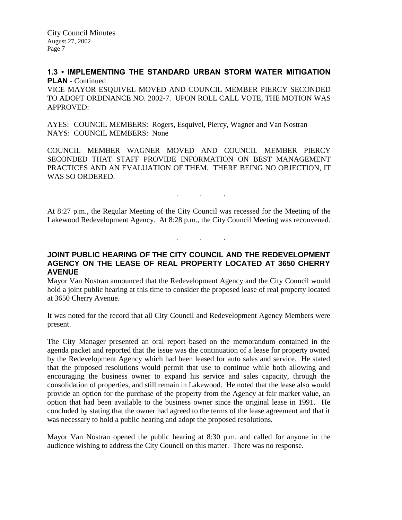## **1.3 • IMPLEMENTING THE STANDARD URBAN STORM WATER MITIGATION PLAN** - Continued

VICE MAYOR ESQUIVEL MOVED AND COUNCIL MEMBER PIERCY SECONDED TO ADOPT ORDINANCE NO. 2002-7. UPON ROLL CALL VOTE, THE MOTION WAS APPROVED:

AYES: COUNCIL MEMBERS: Rogers, Esquivel, Piercy, Wagner and Van Nostran NAYS: COUNCIL MEMBERS: None

COUNCIL MEMBER WAGNER MOVED AND COUNCIL MEMBER PIERCY SECONDED THAT STAFF PROVIDE INFORMATION ON BEST MANAGEMENT PRACTICES AND AN EVALUATION OF THEM. THERE BEING NO OBJECTION, IT WAS SO ORDERED.

At 8:27 p.m., the Regular Meeting of the City Council was recessed for the Meeting of the Lakewood Redevelopment Agency. At 8:28 p.m., the City Council Meeting was reconvened.

. . .

. . .

## **JOINT PUBLIC HEARING OF THE CITY COUNCIL AND THE REDEVELOPMENT AGENCY ON THE LEASE OF REAL PROPERTY LOCATED AT 3650 CHERRY AVENUE**

Mayor Van Nostran announced that the Redevelopment Agency and the City Council would hold a joint public hearing at this time to consider the proposed lease of real property located at 3650 Cherry Avenue.

It was noted for the record that all City Council and Redevelopment Agency Members were present.

The City Manager presented an oral report based on the memorandum contained in the agenda packet and reported that the issue was the continuation of a lease for property owned by the Redevelopment Agency which had been leased for auto sales and service. He stated that the proposed resolutions would permit that use to continue while both allowing and encouraging the business owner to expand his service and sales capacity, through the consolidation of properties, and still remain in Lakewood. He noted that the lease also would provide an option for the purchase of the property from the Agency at fair market value, an option that had been available to the business owner since the original lease in 1991. He concluded by stating that the owner had agreed to the terms of the lease agreement and that it was necessary to hold a public hearing and adopt the proposed resolutions.

Mayor Van Nostran opened the public hearing at 8:30 p.m. and called for anyone in the audience wishing to address the City Council on this matter. There was no response.